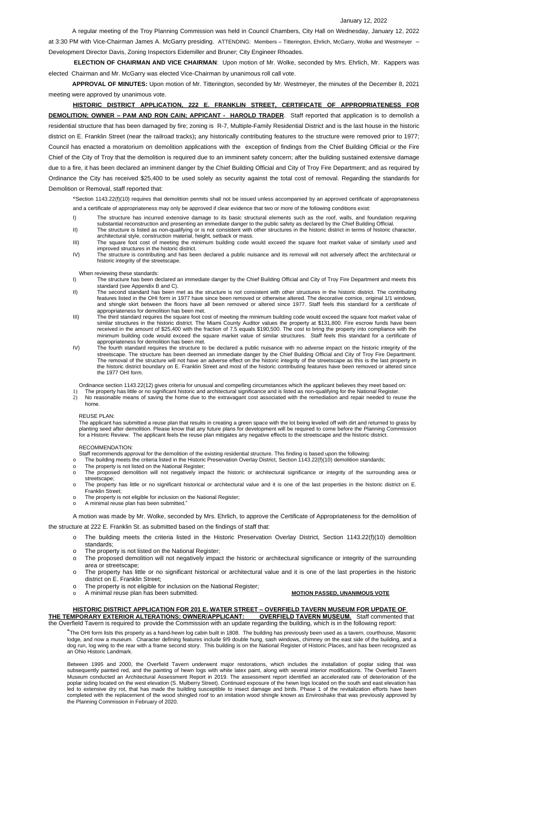### January 12, 2022

A regular meeting of the Troy Planning Commission was held in Council Chambers, City Hall on Wednesday, January 12, 2022 at 3:30 PM with Vice-Chairman James A. McGarry presiding. ATTENDING: Members – Titterington, Ehrlich, McGarry, Wolke and Westmeyer – Development Director Davis, Zoning Inspectors Eidemiller and Bruner; City Engineer Rhoades.

**ELECTION OF CHAIRMAN AND VICE CHAIRMAN**: Upon motion of Mr. Wolke, seconded by Mrs. Ehrlich, Mr. Kappers was elected Chairman and Mr. McGarry was elected Vice-Chairman by unanimous roll call vote.

**APPROVAL OF MINUTES:** Upon motion of Mr. Titterington, seconded by Mr. Westmeyer, the minutes of the December 8, 2021 meeting were approved by unanimous vote.

**HISTORIC DISTRICT APPLICATION, 222 E. FRANKLIN STREET, CERTIFICATE OF APPROPRIATENESS FOR DEMOLITION; OWNER – PAM AND RON CAIN; APPICANT - HAROLD TRADER**. Staff reported that application is to demolish a residential structure that has been damaged by fire; zoning is R-7, Multiple-Family Residential District and is the last house in the historic district on E. Franklin Street (near the railroad tracks)**;** any historically contributing features to the structure were removed prior to 1977; Council has enacted a moratorium on demolition applications with the exception of findings from the Chief Building Official or the Fire Chief of the City of Troy that the demolition is required due to an imminent safety concern; after the building sustained extensive damage due to a fire, it has been declared an imminent danger by the Chief Building Official and City of Troy Fire Department; and as required by Ordinance the City has received \$25,400 to be used solely as security against the total cost of removal. Regarding the standards for Demolition or Removal, staff reported that:

**"**Section 1143.22(f)(10) requires that demolition permits shall not be issued unless accompanied by an approved certificate of appropriateness and a certificate of appropriateness may only be approved if clear evidence that two or more of the following conditions exist:

- I) The structure has incurred extensive damage to its basic structural elements such as the roof, walls, and foundation requiring substantial reconstruction and presenting an immediate danger to the public safety as declared by the Chief Building Official.
- II) The structure is listed as non-qualifying or is not consistent with other structures in the historic district in terms of historic character, architectural style, construction material, height, setback or mass.
- III) The square foot cost of meeting the minimum building code would exceed the square foot market value of similarly used and improved structures in the historic district.
- IV) The structure is contributing and has been declared a public nuisance and its removal will not adversely affect the architectural or historic integrity of the streetscape.

When reviewing these standards:

- I) The structure has been declared an immediate danger by the Chief Building Official and City of Troy Fire Department and meets this standard (see Appendix B and C).
- II) The second standard has been met as the structure is not consistent with other structures in the historic district. The contributing features listed in the OHI form in 1977 have since been removed or otherwise altered. The decorative cornice, original 1/1 windows, and shingle skirt between the floors have all been removed or altered since 1977. Staff feels this standard for a certificate of appropriateness for demolition has been met.
- III) The third standard requires the square foot cost of meeting the minimum building code would exceed the square foot market value of similar structures in the historic district. The Miami County Auditor values the property at \$131,800. Fire escrow funds have been received in the amount of \$25,400 with the fraction of 7.5 equals \$190,500. The cost to bring the property into compliance with the minimum building code would exceed the square market value of similar structures. Staff feels this standard for a certificate of appropriateness for demolition has been met.
- IV) The fourth standard requires the structure to be declared a public nuisance with no adverse impact on the historic integrity of the streetscape. The structure has been deemed an immediate danger by the Chief Building Official and City of Troy Fire Department. The removal of the structure will not have an adverse effect on the historic integrity of the streetscape as this is the last property in the historic district boundary on E. Franklin Street and most of the historic contributing features have been removed or altered since the 1977 OHI form.

Ordinance section 1143.22(12) gives criteria for unusual and compelling circumstances which the applicant believes they meet based on:

- 1) The property has little or no significant historic and architectural significance and is listed as non-qualifying for the National Register.
- 2) No reasonable means of saving the home due to the extravagant cost associated with the remediation and repair needed to reuse the home.

#### REUSE PLAN:

The applicant has submitted a reuse plan that results in creating a green space with the lot being leveled off with dirt and returned to grass by planting seed after demolition. Please know that any future plans for development will be required to come before the Planning Commission for a Historic Review. The applicant feels the reuse plan mitigates any negative effects to the streetscape and the historic district.

### RECOMMENDATION:

- Staff recommends approval for the demolition of the existing residential structure. This finding is based upon the following:
- The building meets the criteria listed in the Historic Preservation Overlay District, Section 1143.22(f)(10) demolition standards;
- The property is not listed on the National Register;
- o The proposed demolition will not negatively impact the historic or architectural significance or integrity of the surrounding area or streetscape;
- o The property has little or no significant historical or architectural value and it is one of the last properties in the historic district on E. Franklin Street;
- o The property is not eligible for inclusion on the National Register;
- o A minimal reuse plan has been submitted."

A motion was made by Mr. Wolke, seconded by Mrs. Ehrlich, to approve the Certificate of Appropriateness for the demolition of

the structure at 222 E. Franklin St. as submitted based on the findings of staff that:

- o The building meets the criteria listed in the Historic Preservation Overlay District, Section 1143.22(f)(10) demolition standards;
- o The property is not listed on the National Register;
- The proposed demolition will not negatively impact the historic or architectural significance or integrity of the surrounding area or streetscape;
- o The property has little or no significant historical or architectural value and it is one of the last properties in the historic district on E. Franklin Street;
- o The property is not eligible for inclusion on the National Register;

## **HISTORIC DISTRICT APPLICATION FOR 201 E. WATER STREET – OVERFIELD TAVERN MUSEUM FOR UPDATE OF THE TEMPORARY EXTERIOR ALTERATIONS; OWNER/APPLICANT: OVERFIELD TAVERN MUSEUM.** Staff commented that the Overfield Tavern is required to provide the Commission with an update regarding the building, which is in the following report:

"The OHI form lists this property as a hand-hewn log cabin built in 1808. The building has previously been used as a tavern, courthouse, Masonic lodge, and now a museum. Character defining features include 9/9 double hung, sash windows, chimney on the east side of the building, and a dog run, log wing to the rear with a frame second story. This building is on the National Register of Historic Places, and has been recognized as an Ohio Historic Landmark.

Between 1995 and 2000, the Overfield Tavern underwent major restorations, which includes the installation of poplar siding that was subsequently painted red, and the painting of hewn logs with white latex paint, along with several interior modifications. The Overfield Tavern Museum conducted an Architectural Assessment Report in 2019. The assessment report identified an accelerated rate of deterioration of the poplar siding located on the west elevation (S. Mulberry Street). Continued exposure of the hewn logs located on the south and east elevation has led to extensive dry rot, that has made the building susceptible to insect damage and birds. Phase 1 of the revitalization efforts have been completed with the replacement of the wood shingled roof to an imitation wood shingle known as Enviroshake that was previously approved by the Planning Commission in February of 2020.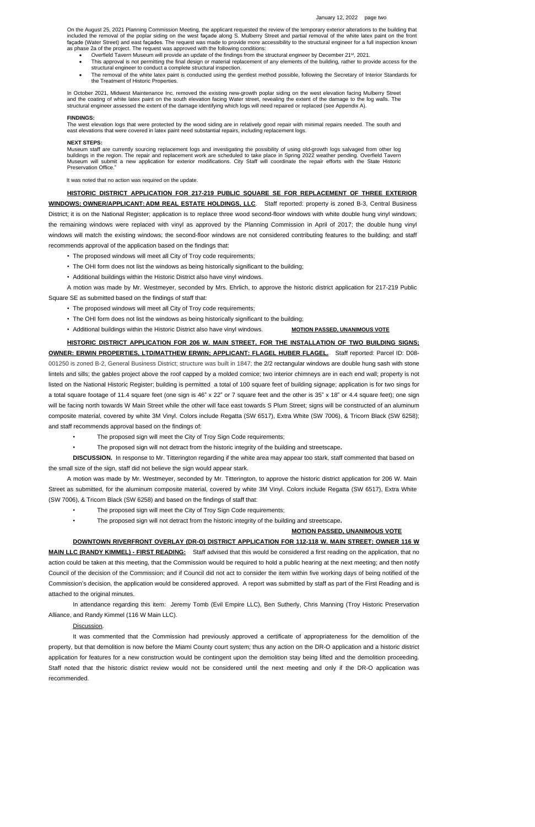On the August 25, 2021 Planning Commission Meeting, the applicant requested the review of the temporary exterior alterations to the building that included the removal of the poplar siding on the west façade along S. Mulberry Street and partial removal of the white latex paint on the front façade (Water Street) and east façades. The request was made to provide more accessibility to the structural engineer for a full inspection known as phase 2a of the project. The request was approved with the following conditions:

- Overfield Tavern Museum will provide an update of the findings from the structural engineer by December 21<sup>st</sup>, 2021.
- This approval is not permitting the final design or material replacement of any elements of the building, rather to provide access for the structural engineer to conduct a complete structural inspection.
- The removal of the white latex paint is conducted using the gentlest method possible, following the Secretary of Interior Standards for the Treatment of Historic Properties.

In October 2021, Midwest Maintenance Inc. removed the existing new-growth poplar siding on the west elevation facing Mulberry Street and the coating of white latex paint on the south elevation facing Water street, revealing the extent of the damage to the log walls. The structural engineer assessed the extent of the damage identifying which logs will need repaired or replaced (see Appendix A).

#### **FINDINGS:**

The west elevation logs that were protected by the wood siding are in relatively good repair with minimal repairs needed. The south and east elevations that were covered in latex paint need substantial repairs, including replacement logs.

- The proposed windows will meet all City of Troy code requirements;
- The OHI form does not list the windows as being historically significant to the building;
- Additional buildings within the Historic District also have vinyl windows. MOTION PASSED, UNANIMOUS VOTE

#### **NEXT STEPS:**

Museum staff are currently sourcing replacement logs and investigating the possibility of using old-growth logs salvaged from other log buildings in the region. The repair and replacement work are scheduled to take place in Spring 2022 weather pending. Overfield Tavern Museum will submit a new application for exterior modifications. City Staff will coordinate the repair efforts with the State Historic Preservation Office."

It was noted that no action was required on the update.

# **HISTORIC DISTRICT APPLICATION FOR 217-219 PUBLIC SQUARE SE FOR REPLACEMENT OF THREE EXTERIOR**

**WINDOWS; OWNER/APPLICANT: ADM REAL ESTATE HOLDINGS, LLC**. Staff reported: property is zoned B-3, Central Business District; it is on the National Register; application is to replace three wood second-floor windows with white double hung vinyl windows; the remaining windows were replaced with vinyl as approved by the Planning Commission in April of 2017; the double hung vinyl windows will match the existing windows; the second-floor windows are not considered contributing features to the building; and staff recommends approval of the application based on the findings that:

**MAIN LLC (RANDY KIMMEL) - FIRST READING:** Staff advised that this would be considered a first reading on the application, that no action could be taken at this meeting, that the Commission would be required to hold a public hearing at the next meeting; and then notify Council of the decision of the Commission; and if Council did not act to consider the item within five working days of being notified of the Commission's decision, the application would be considered approved. A report was submitted by staff as part of the First Reading and is attached to the original minutes.

- The proposed windows will meet all City of Troy code requirements;
- The OHI form does not list the windows as being historically significant to the building;
- Additional buildings within the Historic District also have vinyl windows.

A motion was made by Mr. Westmeyer, seconded by Mrs. Ehrlich, to approve the historic district application for 217-219 Public Square SE as submitted based on the findings of staff that:

**HISTORIC DISTRICT APPLICATION FOR 206 W. MAIN STREET, FOR THE INSTALLATION OF TWO BUILDING SIGNS;**

**OWNER: ERWIN PROPERTIES, LTD/MATTHEW ERWIN; APPLICANT: FLAGEL HUBER FLAGEL.** Staff reported: Parcel ID: D08**-** 001250 is zoned B-2, General Business District; structure was built in 1847; the 2/2 rectangular windows are double hung sash with stone lintels and sills; the gables project above the roof capped by a molded cornice; two interior chimneys are in each end wall; property is not listed on the National Historic Register; building is permitted a total of 100 square feet of building signage; application is for two sings for a total square footage of 11.4 square feet (one sign is 46" x 22" or 7 square feet and the other is 35" x 18" or 4.4 square feet); one sign will be facing north towards W Main Street while the other will face east towards S Plum Street; signs will be constructed of an aluminum composite material, covered by white 3M Vinyl. Colors include Regatta (SW 6517), Extra White (SW 7006), & Tricorn Black (SW 6258); and staff recommends approval based on the findings of:

- The proposed sign will meet the City of Troy Sign Code requirements;
- The proposed sign will not detract from the historic integrity of the building and streetscape**.**

**DISCUSSION.** In response to Mr. Titterington regarding if the white area may appear too stark, staff commented that based on the small size of the sign, staff did not believe the sign would appear stark.

A motion was made by Mr. Westmeyer, seconded by Mr. Titterington, to approve the historic district application for 206 W. Main Street as submitted, for the aluminum composite material, covered by white 3M Vinyl. Colors include Regatta (SW 6517), Extra White (SW 7006), & Tricorn Black (SW 6258) and based on the findings of staff that:

- The proposed sign will meet the City of Troy Sign Code requirements;
- The proposed sign will not detract from the historic integrity of the building and streetscape**.**

## **MOTION PASSED, UNANIMOUS VOTE**

**DOWNTOWN RIVERFRONT OVERLAY (DR-O) DISTRICT APPLICATION FOR 112-118 W. MAIN STREET; OWNER 116 W**

In attendance regarding this item: Jeremy Tomb (Evil Empire LLC), Ben Sutherly, Chris Manning (Troy Historic Preservation

Alliance, and Randy Kimmel (116 W Main LLC).

## Discussion.

It was commented that the Commission had previously approved a certificate of appropriateness for the demolition of the property, but that demolition is now before the Miami County court system; thus any action on the DR-O application and a historic district application for features for a new construction would be contingent upon the demolition stay being lifted and the demolition proceeding. Staff noted that the historic district review would not be considered until the next meeting and only if the DR-O application was recommended.